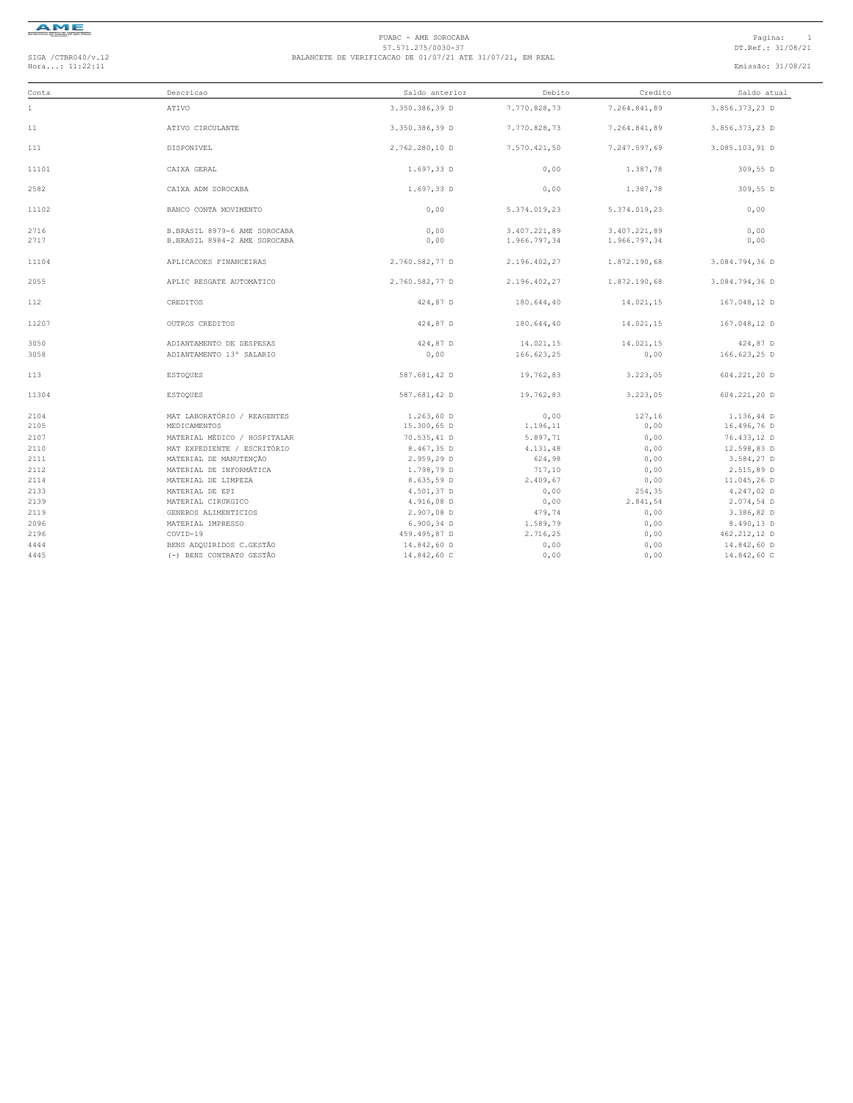

| Conta        | Descricao                                      | Saldo anterior           | Debito             | Credito      | Saldo atual               |
|--------------|------------------------------------------------|--------------------------|--------------------|--------------|---------------------------|
| $\mathbf{1}$ | ATIVO                                          | 3.350.386,39 D           | 7.770.828,73       | 7.264.841,89 | 3.856.373,23 D            |
| 11           | ATIVO CIRCULANTE                               | 3.350.386,39 D           | 7.770.828,73       | 7.264.841,89 | 3.856.373,23 D            |
| 111          | DISPONIVEL                                     | 2.762.280,10 D           | 7.570.421.50       | 7.247.597,69 | 3.085.103,91 D            |
| 11101        | CAIXA GERAL                                    | 1.697,33 D               | 0,00               | 1.387,78     | 309,55 D                  |
| 2582         | CAIXA ADM SOROCABA                             | 1.697,33 D               | 0,00               | 1.387,78     | 309,55 D                  |
| 11102        | BANCO CONTA MOVIMENTO                          | 0,00                     | 5.374.019,23       | 5.374.019,23 | 0,00                      |
| 2716         | B.BRASIL 8979-6 AME SOROCABA                   | 0,00                     | 3.407.221,89       | 3.407.221,89 | 0,00                      |
| 2717         | B.BRASIL 8984-2 AME SOROCABA                   | 0,00                     | 1.966.797,34       | 1.966.797,34 | 0,00                      |
| 11104        | APLICACOES FINANCEIRAS                         | 2.760.582,77 D           | 2.196.402,27       | 1.872.190,68 | 3.084.794,36 D            |
| 2055         | APLIC RESGATE AUTOMATICO                       | 2.760.582,77 D           | 2.196.402,27       | 1.872.190,68 | 3.084.794,36 D            |
| 112          | CREDITOS                                       | 424,87 D                 | 180.644,40         | 14.021,15    | 167.048,12 D              |
| 11207        | OUTROS CREDITOS                                | 424,87 D                 | 180.644,40         | 14.021,15    | 167.048,12 D              |
| 3050         | ADIANTAMENTO DE DESPESAS                       | 424,87 D                 | 14.021,15          | 14.021,15    | 424,87 D                  |
| 3058         | ADIANTAMENTO 13° SALARIO                       | 0,00                     | 166.623,25         | 0,00         | 166.623,25 D              |
| 113          | <b>ESTOQUES</b>                                | 587.681,42 D             | 19.762,83          | 3.223,05     | 604.221,20 D              |
| 11304        | <b>ESTOQUES</b>                                | 587.681,42 D             | 19.762,83          | 3.223,05     | 604.221,20 D              |
| 2104         | MAT LABORATÓRIO / REAGENTES                    | $1.263,60$ D             | 0,00               | 127,16       | 1.136,44 D                |
| 2105         | MEDICAMENTOS                                   | 15.300,65 D              | 1.196,11           | 0,00         | 16.496,76 D               |
| 2107         | MATERIAL MÉDICO / HOSPITALAR                   | 70.535,41 D              | 5.897,71           | 0,00         | 76.433,12 D               |
| 2110         | MAT EXPEDIENTE / ESCRITÓRIO                    | 8.467,35 D               | 4.131,48           | 0,00         | 12.598,83 D               |
| 2111         | MATERIAL DE MANUTENÇÃO                         | 2.959,29 D               | 624,98             | 0,00         | 3.584,27 D                |
| 2112<br>2114 | MATERIAL DE INFORMÁTICA<br>MATERIAL DE LIMPEZA | 1.798,79 D<br>8.635,59 D | 717,10<br>2.409,67 | 0,00<br>0,00 | 2.515,89 D<br>11.045,26 D |
| 2133         | MATERIAL DE EPI                                | 4.501,37 D               | 0,00               | 254,35       | 4.247,02 D                |
| 2139         | MATERIAL CIRURGICO                             | 4.916,08 D               | 0,00               | 2.841,54     | $2.074,54$ D              |
| 2119         | GENEROS ALIMENTICIOS                           | 2.907,08 D               | 479,74             | 0,00         | 3.386,82 D                |
| 2096         | MATERIAL IMPRESSO                              | $6.900.34$ D             | 1.589,79           | 0,00         | 8.490,13 D                |
| 2196         | COVID-19                                       | 459.495,87 D             | 2.716,25           | 0,00         | 462.212,12 D              |
| 4444         | BENS ADQUIRIDOS C.GESTÃO                       | 14.842,60 D              | 0,00               | 0,00         | 14.842,60 D               |
| 4445         | (-) BENS CONTRATO GESTÃO                       | 14.842,60 C              | 0.00               | 0.00         | 14.842,60 C               |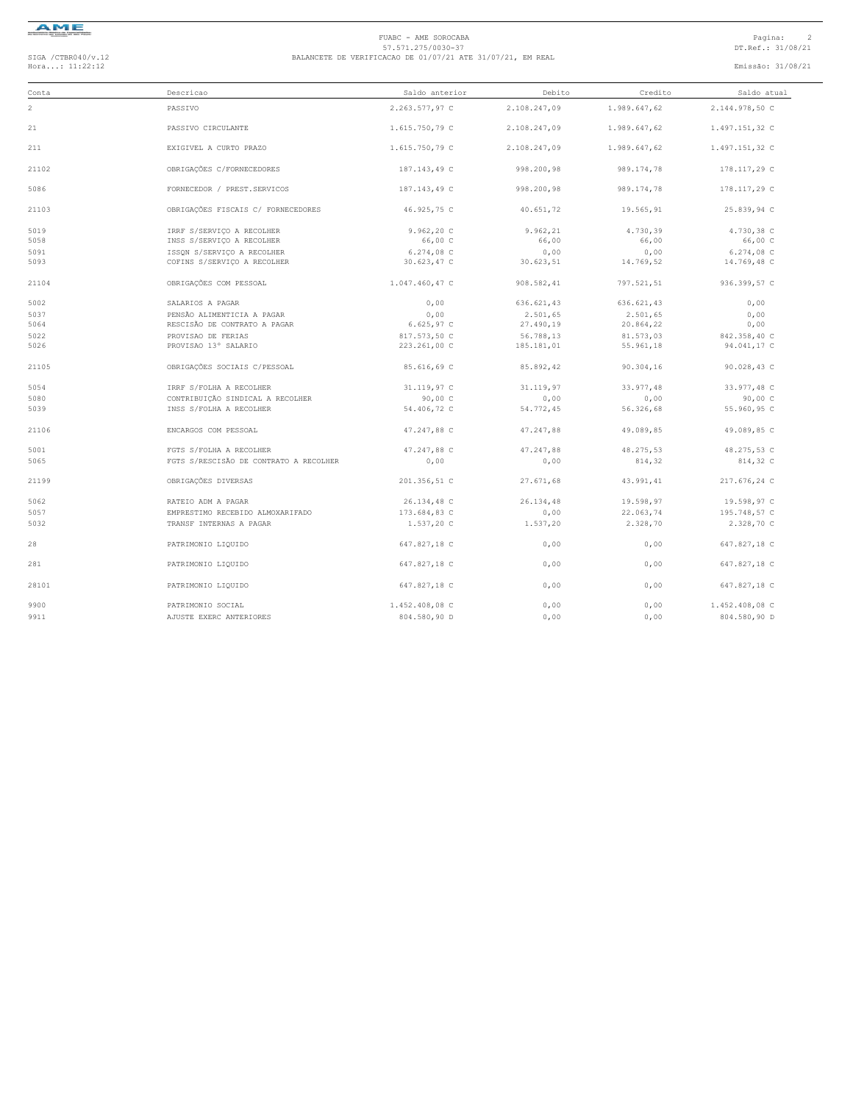

| Conta | Descricao                              | Saldo anterior | Debito       | Credito      | Saldo atual    |
|-------|----------------------------------------|----------------|--------------|--------------|----------------|
| 2     | PASSIVO                                | 2.263.577,97 C | 2.108.247,09 | 1.989.647,62 | 2.144.978,50 C |
| 21    | PASSIVO CIRCULANTE                     | 1.615.750,79 C | 2.108.247,09 | 1.989.647,62 | 1.497.151,32 C |
| 211   | EXIGIVEL A CURTO PRAZO                 | 1.615.750,79 C | 2.108.247,09 | 1.989.647,62 | 1.497.151,32 C |
| 21102 | OBRIGAÇÕES C/FORNECEDORES              | 187.143,49 C   | 998.200,98   | 989.174,78   | 178.117,29 C   |
| 5086  | FORNECEDOR / PREST.SERVICOS            | 187.143,49 C   | 998.200,98   | 989.174,78   | 178.117,29 C   |
| 21103 | OBRIGAÇÕES FISCAIS C/ FORNECEDORES     | 46.925,75 C    | 40.651,72    | 19.565,91    | 25.839,94 C    |
| 5019  | IRRF S/SERVICO A RECOLHER              | 9.962, 20 C    | 9.962,21     | 4.730,39     | 4.730,38 C     |
| 5058  | INSS S/SERVIÇO A RECOLHER              | 66,00 C        | 66,00        | 66,00        | 66,00 C        |
| 5091  | ISSON S/SERVICO A RECOLHER             | 6.274,08 C     | 0,00         | 0,00         | 6.274,08 C     |
| 5093  | COFINS S/SERVICO A RECOLHER            | 30.623,47 C    | 30.623,51    | 14.769,52    | 14.769,48 C    |
| 21104 | OBRIGAÇÕES COM PESSOAL                 | 1.047.460,47 C | 908.582,41   | 797.521,51   | 936.399,57 C   |
| 5002  | SALARIOS A PAGAR                       | 0,00           | 636.621,43   | 636.621,43   | 0,00           |
| 5037  | PENSÃO ALIMENTICIA A PAGAR             | 0,00           | 2.501,65     | 2.501,65     | 0,00           |
| 5064  | RESCISÃO DE CONTRATO A PAGAR           | 6.625,97 C     | 27.490,19    | 20.864,22    | 0,00           |
| 5022  | PROVISAO DE FERIAS                     | 817.573,50 C   | 56.788,13    | 81.573,03    | 842.358,40 C   |
| 5026  | PROVISAO 13° SALARIO                   | 223.261,00 C   | 185.181,01   | 55.961,18    | 94.041,17 C    |
| 21105 | OBRIGAÇÕES SOCIAIS C/PESSOAL           | 85.616.69 C    | 85.892,42    | 90.304,16    | 90.028,43 C    |
| 5054  | IRRF S/FOLHA A RECOLHER                | 31.119,97 C    | 31.119,97    | 33.977,48    | 33.977,48 C    |
| 5080  | CONTRIBUICÃO SINDICAL A RECOLHER       | 90.00C         | 0,00         | 0,00         | 90,00 C        |
| 5039  | INSS S/FOLHA A RECOLHER                | 54.406,72 C    | 54.772,45    | 56.326,68    | 55.960,95 C    |
| 21106 | ENCARGOS COM PESSOAL                   | 47.247,88 C    | 47.247,88    | 49.089,85    | 49.089,85 C    |
| 5001  | FGTS S/FOLHA A RECOLHER                | 47.247,88 C    | 47.247,88    | 48.275,53    | 48.275,53 C    |
| 5065  | FGTS S/RESCISÃO DE CONTRATO A RECOLHER | 0,00           | 0,00         | 814,32       | 814,32 C       |
| 21199 | OBRIGAÇÕES DIVERSAS                    | 201.356,51 C   | 27.671,68    | 43.991,41    | 217.676,24 C   |
| 5062  | RATEIO ADM A PAGAR                     | 26.134,48 C    | 26.134,48    | 19.598,97    | 19.598,97 C    |
| 5057  | EMPRESTIMO RECEBIDO ALMOXARIFADO       | 173.684,83 C   | 0,00         | 22.063,74    | 195.748,57 C   |
| 5032  | TRANSF INTERNAS A PAGAR                | 1.537,20 C     | 1.537,20     | 2.328,70     | 2.328,70 C     |
| 28    | PATRIMONIO LIQUIDO                     | 647.827,18 C   | 0,00         | 0,00         | 647.827,18 C   |
| 281   | PATRIMONIO LIQUIDO                     | 647.827,18 C   | 0,00         | 0,00         | 647.827,18 C   |
| 28101 | PATRIMONIO LIQUIDO                     | 647.827,18 C   | 0,00         | 0,00         | 647.827,18 C   |
| 9900  | PATRIMONIO SOCIAL                      | 1.452.408,08 C | 0,00         | 0,00         | 1.452.408,08 C |
| 9911  | AJUSTE EXERC ANTERIORES                | 804.580.90 D   | 0,00         | 0.00         | 804.580,90 D   |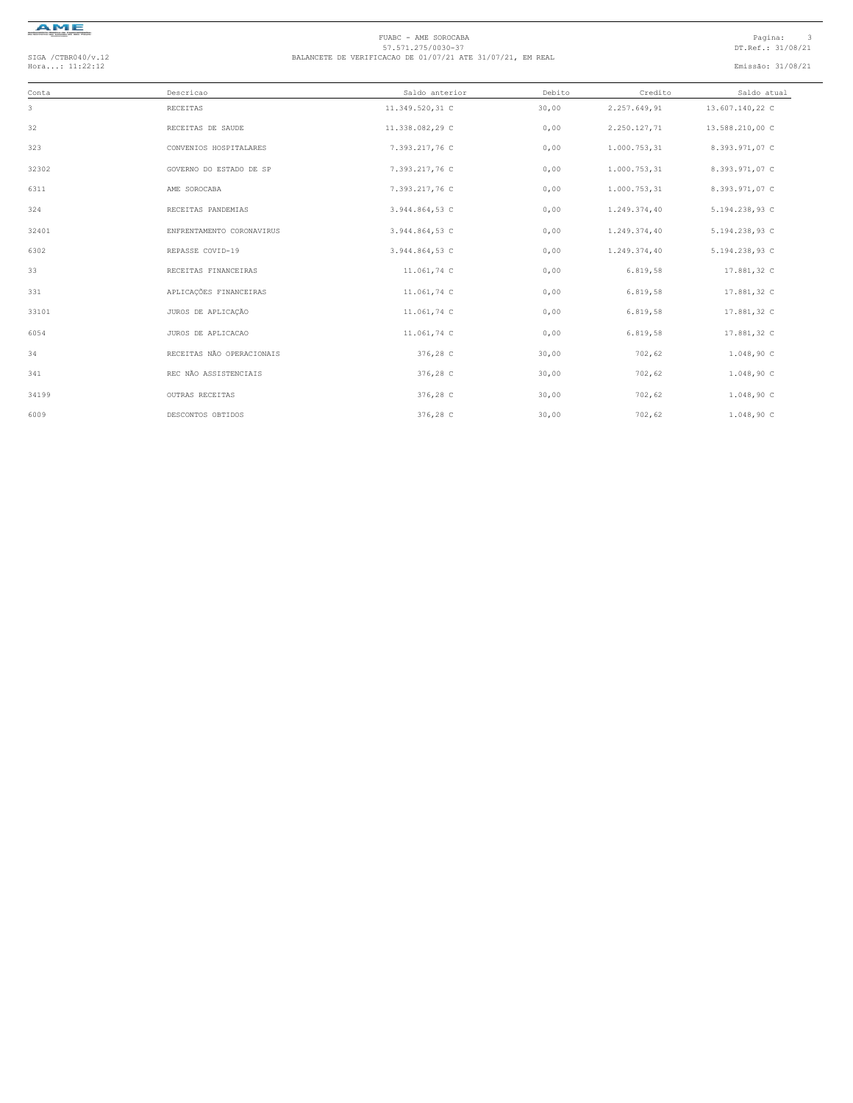

| Conta | Descricao                 | Saldo anterior  | Debito | Credito      | Saldo atual     |  |
|-------|---------------------------|-----------------|--------|--------------|-----------------|--|
| 3     | RECEITAS                  | 11.349.520,31 C | 30,00  | 2.257.649,91 | 13.607.140,22 C |  |
| 32    | RECEITAS DE SAUDE         | 11.338.082,29 C | 0,00   | 2.250.127,71 | 13.588.210,00 C |  |
| 323   | CONVENIOS HOSPITALARES    | 7.393.217,76 C  | 0,00   | 1.000.753,31 | 8.393.971,07 C  |  |
| 32302 | GOVERNO DO ESTADO DE SP   | 7.393.217,76 C  | 0,00   | 1.000.753,31 | 8.393.971,07 C  |  |
| 6311  | AME SOROCABA              | 7.393.217,76 C  | 0,00   | 1.000.753,31 | 8.393.971,07 C  |  |
| 324   | RECEITAS PANDEMIAS        | 3.944.864,53 C  | 0,00   | 1.249.374,40 | 5.194.238,93 C  |  |
| 32401 | ENFRENTAMENTO CORONAVIRUS | 3.944.864,53 C  | 0,00   | 1.249.374,40 | 5.194.238,93 C  |  |
| 6302  | REPASSE COVID-19          | 3.944.864,53 C  | 0,00   | 1.249.374,40 | 5.194.238,93 C  |  |
| 33    | RECEITAS FINANCEIRAS      | 11.061,74 C     | 0,00   | 6.819,58     | 17.881,32 C     |  |
| 331   | APLICAÇÕES FINANCEIRAS    | 11.061,74 C     | 0,00   | 6.819,58     | 17.881,32 C     |  |
| 33101 | JUROS DE APLICAÇÃO        | 11.061,74 C     | 0,00   | 6.819,58     | 17.881,32 C     |  |
| 6054  | JUROS DE APLICACAO        | 11.061,74 C     | 0,00   | 6.819,58     | 17.881,32 C     |  |
| 34    | RECEITAS NÃO OPERACIONAIS | 376,28 C        | 30,00  | 702,62       | 1.048,90C       |  |
| 341   | REC NÃO ASSISTENCIAIS     | 376,28 C        | 30,00  | 702,62       | 1.048,90 C      |  |
| 34199 | OUTRAS RECEITAS           | 376,28 C        | 30,00  | 702,62       | 1.048,90 C      |  |
| 6009  | DESCONTOS OBTIDOS         | 376,28 C        | 30,00  | 702,62       | 1.048,90C       |  |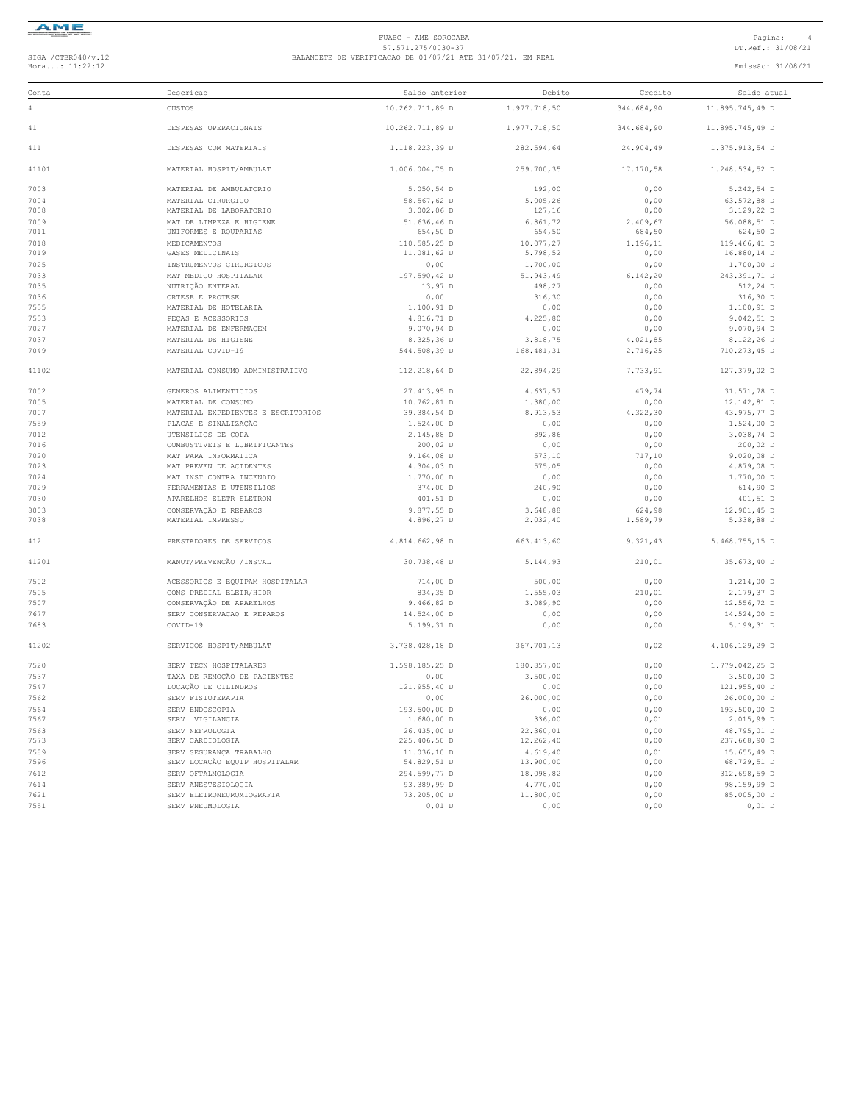

| Conta          | Descricao                                            | Saldo anterior             | Debito                | Credito        | Saldo atual                |
|----------------|------------------------------------------------------|----------------------------|-----------------------|----------------|----------------------------|
| $\overline{4}$ | CUSTOS                                               | 10.262.711,89 D            | 1.977.718,50          | 344.684,90     | 11.895.745,49 D            |
| 41             | DESPESAS OPERACIONAIS                                | 10.262.711,89 D            | 1.977.718,50          | 344.684,90     | 11.895.745,49 D            |
| 411            | DESPESAS COM MATERIAIS                               | 1.118.223,39 D             | 282.594,64            | 24.904,49      | 1.375.913,54 D             |
| 41101          | MATERIAL HOSPIT/AMBULAT                              | 1.006.004,75 D             | 259.700,35            | 17.170,58      | 1.248.534,52 D             |
| 7003           | MATERIAL DE AMBULATORIO                              | 5.050,54 D                 | 192,00                | 0,00           | 5.242,54 D                 |
| 7004           | MATERIAL CIRURGICO                                   | 58.567,62 D                | 5.005,26              | 0,00           | 63.572,88 D                |
| 7008           | MATERIAL DE LABORATORIO                              | 3.002,06 D                 | 127,16                | 0,00           | 3.129,22 D                 |
| 7009           | MAT DE LIMPEZA E HIGIENE                             | 51.636,46 D                | 6.861,72              | 2.409,67       | 56.088,51 D                |
| 7011           | UNIFORMES E ROUPARIAS                                | 654,50 D                   | 654,50                | 684,50         | 624,50 D                   |
| 7018<br>7019   | MEDICAMENTOS<br>GASES MEDICINAIS                     | 110.585,25 D               | 10.077,27             | 1.196,11       | 119.466,41 D               |
| 7025           | INSTRUMENTOS CIRURGICOS                              | 11.081,62 D<br>0,00        | 5.798,52<br>1,700,00  | 0,00<br>0,00   | 16.880,14 D<br>1.700,00 D  |
| 7033           | MAT MEDICO HOSPITALAR                                | 197.590,42 D               | 51.943,49             | 6.142, 20      | 243.391,71 D               |
| 7035           | NUTRIÇÃO ENTERAL                                     | 13,97 D                    | 498,27                | 0,00           | 512,24 D                   |
| 7036           | ORTESE E PROTESE                                     | 0,00                       | 316,30                | 0,00           | 316,30 D                   |
| 7535           | MATERIAL DE HOTELARIA                                | $1.100, 91$ D              | 0,00                  | 0,00           | $1.100, 91$ D              |
| 7533           | PECAS E ACESSORIOS                                   | 4.816,71 D                 | 4.225,80              | 0,00           | 9.042, 51D                 |
| 7027           | MATERIAL DE ENFERMAGEM                               | 9.070,94 D                 | 0,00                  | 0,00           | $9.070, 94$ D              |
| 7037           | MATERIAL DE HIGIENE                                  | 8.325,36 D                 | 3.818,75              | 4.021,85       | 8.122,26 D                 |
| 7049           | MATERIAL COVID-19                                    | 544.508,39 D               | 168.481,31            | 2.716,25       | 710.273,45 D               |
| 41102          | MATERIAL CONSUMO ADMINISTRATIVO                      | 112.218,64 D               | 22.894,29             | 7.733.91       | 127.379.02 D               |
|                |                                                      |                            |                       |                |                            |
| 7002           | GENEROS ALIMENTICIOS                                 | 27.413,95 D                | 4.637,57              | 479,74         | 31.571,78 D                |
| 7005           | MATERIAL DE CONSUMO                                  | 10.762,81 D                | 1.380,00              | 0,00           | 12.142.81 D                |
| 7007           | MATERIAL EXPEDIENTES E ESCRITORIOS                   | 39.384,54 D                | 8.913,53              | 4.322,30       | 43.975,77 D                |
| 7559           | PLACAS E SINALIZAÇÃO                                 | $1.524,00$ D               | 0,00                  | 0,00           | $1.524,00$ D               |
| 7012<br>7016   | UTENSILIOS DE COPA                                   | 2.145,88 D                 | 892,86                | 0,00           | 3.038,74 D                 |
| 7020           | COMBUSTIVEIS E LUBRIFICANTES<br>MAT PARA INFORMATICA | 200,02 D<br>$9.164,08$ D   | 0,00<br>573,10        | 0,00<br>717,10 | 200,02 D<br>$9.020,08$ D   |
| 7023           | MAT PREVEN DE ACIDENTES                              | $4.304,03$ D               | 575,05                | 0,00           | 4.879,08 D                 |
| 7024           | MAT INST CONTRA INCENDIO                             | 1.770,00 D                 | 0,00                  | 0,00           | 1.770,00 D                 |
| 7029           | FERRAMENTAS E UTENSILIOS                             | 374,00 D                   | 240,90                | 0,00           | 614,90 D                   |
| 7030           | APARELHOS ELETR ELETRON                              | 401,51 D                   | 0,00                  | 0,00           | 401,51 D                   |
| 8003           | CONSERVAÇÃO E REPAROS                                | 9.877,55 D                 | 3.648,88              | 624,98         | 12.901,45 D                |
| 7038           | MATERIAL IMPRESSO                                    | 4.896,27 D                 | 2.032, 40             | 1.589,79       | 5.338,88D                  |
| 412            | PRESTADORES DE SERVIÇOS                              | 4.814.662,98 D             | 663.413,60            | 9.321,43       | 5.468.755,15 D             |
| 41201          | MANUT/PREVENÇÃO / INSTAL                             | 30.738,48 D                | 5.144,93              | 210,01         | 35.673,40 D                |
| 7502           | ACESSORIOS E EQUIPAM HOSPITALAR                      | 714,00 D                   | 500,00                | 0,00           | $1.214,00$ D               |
| 7505           | CONS PREDIAL ELETR/HIDR                              | 834,35 D                   | 1.555,03              | 210,01         | 2.179,37 D                 |
| 7507           | CONSERVAÇÃO DE APARELHOS                             | 9.466, 82D                 | 3.089,90              | 0,00           | 12.556,72 D                |
| 7677           | SERV CONSERVACAO E REPAROS                           | 14.524,00 D                | 0,00                  | 0,00           | 14.524,00 D                |
| 7683           | COVID-19                                             | 5.199,31 D                 | 0,00                  | 0,00           | 5.199,31 D                 |
| 41202          | SERVICOS HOSPIT/AMBULAT                              | 3.738.428,18 D             | 367.701,13            | 0,02           | 4.106.129,29 D             |
| 7520           | SERV TECN HOSPITALARES                               | 1.598.185.25 D             | 180.857,00            | 0,00           | 1.779.042,25 D             |
| 7537           | TAXA DE REMOÇÃO DE PACIENTES                         | 0,00                       | 3.500,00              | 0,00           | $3.500,00$ D               |
| 7547           | LOCACÃO DE CILINDROS                                 | 121.955,40 D               | 0,00                  | 0,00           | 121.955,40 D               |
| 7562           | SERV FISIOTERAPIA                                    | 0,00                       | 26.000,00             | 0,00           | 26.000,00 D                |
| 7564           | SERV ENDOSCOPIA                                      | 193.500,00 D               | 0,00                  | 0,00           | 193.500,00 D               |
| 7567           | SERV VIGILANCIA                                      | $1.680,00$ D               | 336,00                | 0,01           | 2.015,99 D                 |
| 7563           | SERV NEFROLOGIA                                      | 26.435,00 D                | 22.360,01             | 0,00           | 48.795,01 D                |
| 7573           | SERV CARDIOLOGIA                                     | 225.406,50 D               | 12.262,40             | 0,00           | 237.668,90 D               |
| 7589           | SERV SEGURANÇA TRABALHO                              | 11.036,10 D                | 4.619,40              | 0,01           | 15.655,49 D                |
| 7596           | SERV LOCAÇÃO EQUIP HOSPITALAR                        | 54.829,51 D                | 13.900,00             | 0,00           | 68.729,51 D                |
| 7612           | SERV OFTALMOLOGIA                                    | 294.599,77 D               | 18.098,82             | 0,00           | 312.698,59 D               |
| 7614<br>7621   | SERV ANESTESIOLOGIA<br>SERV ELETRONEUROMIOGRAFIA     | 93.389,99 D<br>73.205,00 D | 4.770,00<br>11.800,00 | 0,00<br>0,00   | 98.159,99 D<br>85.005,00 D |
| 7551           | SERV PNEUMOLOGIA                                     | $0,01$ D                   | 0,00                  | 0,00           | $0,01$ D                   |
|                |                                                      |                            |                       |                |                            |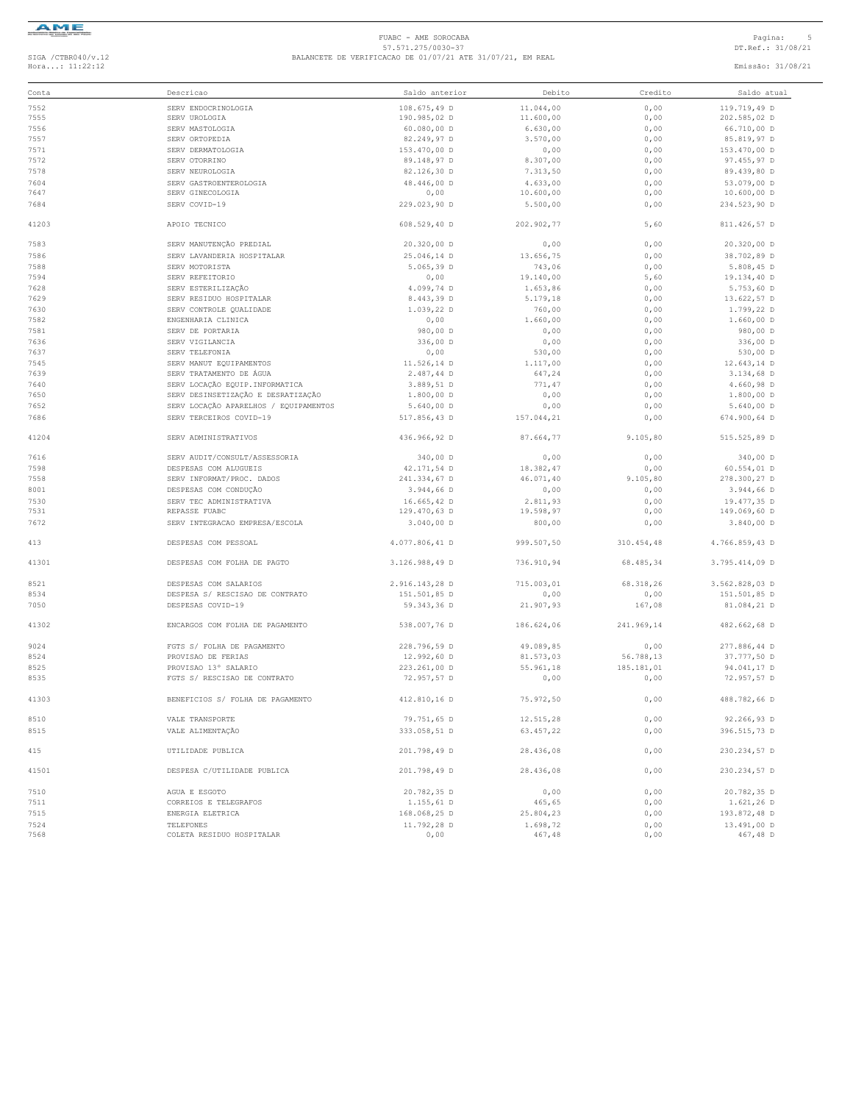

|       | Descricao                             | Saldo anterior             |                |              |                |
|-------|---------------------------------------|----------------------------|----------------|--------------|----------------|
| Conta |                                       |                            | Debito         | Credito      | Saldo atual    |
| 7552  | SERV ENDOCRINOLOGIA                   | 108.675,49 D               | 11.044,00      | 0,00         | 119.719,49 D   |
| 7555  | SERV UROLOGIA                         | 190.985,02 D               | 11.600,00      | 0,00         | 202.585,02 D   |
| 7556  | SERV MASTOLOGIA                       | 60.080,00 D                | 6.630,00       | 0,00         | 66.710,00 D    |
| 7557  | SERV ORTOPEDIA                        | 82.249,97 D                | 3.570,00       | 0,00         | 85.819,97 D    |
| 7571  | SERV DERMATOLOGIA                     | 153.470,00 D               | 0,00           | 0,00         | 153.470,00 D   |
| 7572  | SERV OTORRINO                         | 89.148,97 D                | 8.307,00       | 0,00         | 97.455,97 D    |
| 7578  | SERV NEUROLOGIA                       | 82.126,30 D                | 7.313,50       | 0,00         | 89.439,80 D    |
| 7604  | SERV GASTROENTEROLOGIA                | 48.446,00 D                | 4.633,00       | 0,00         | 53.079,00 D    |
| 7647  | SERV GINECOLOGIA                      | 0,00                       | 10.600,00      | 0,00         | $10.600,00$ D  |
| 7684  | SERV COVID-19                         | 229.023,90 D               | 5.500,00       | 0,00         | 234.523,90 D   |
| 41203 | APOTO TECNICO                         | 608.529,40 D               | 202.902,77     | 5,60         | 811.426,57 D   |
| 7583  | SERV MANUTENÇÃO PREDIAL               | 20.320,00 D                | 0,00           | 0,00         | 20.320,00 D    |
| 7586  | SERV LAVANDERTA HOSPITALAR            | 25.046,14 D                | 13.656,75      | 0,00         | 38.702,89 D    |
| 7588  | SERV MOTORISTA                        | 5.065.39D                  | 743,06         | 0,00         | 5.808,45 D     |
| 7594  | SERV REFEITORIO                       | 0,00                       | 19.140,00      | 5,60         | 19.134,40 D    |
| 7628  | SERV ESTERILIZAÇÃO                    | 4.099,74 D                 | 1.653,86       | 0,00         | $5.753,60$ D   |
| 7629  | SERV RESIDUO HOSPITALAR               | 8.443,39 D                 | 5.179,18       | 0,00         | 13.622,57 D    |
| 7630  | SERV CONTROLE QUALIDADE               | 1.039,22 D                 | 760,00         | 0,00         | 1.799,22 D     |
| 7582  | ENGENHARIA CLINICA                    | 0,00                       | 1.660,00       | 0,00         | $1.660,00$ D   |
| 7581  | SERV DE PORTARIA                      | 980,00 D                   | 0,00           | 0,00         | 980,00 D       |
| 7636  | SERV VIGILANCIA                       | 336,00 D                   | 0,00           | 0,00         | 336,00 D       |
| 7637  | SERV TELEFONIA                        | 0,00                       | 530,00         | 0,00         | 530,00 D       |
| 7545  | SERV MANUT EOUIPAMENTOS               | 11.526,14 D                | 1,117,00       | 0,00         | 12.643.14 D    |
| 7639  | SERV TRATAMENTO DE ÁGUA               | 2.487,44 D                 | 647,24         | 0,00         | 3.134,68 D     |
| 7640  | SERV LOCAÇÃO EQUIP. INFORMATICA       |                            |                |              | 4.660,98 D     |
| 7650  | SERV DESINSETIZAÇÃO E DESRATIZAÇÃO    | 3.889,51 D<br>$1.800,00$ D | 771,47<br>0,00 | 0,00<br>0,00 | 1.800,00 D     |
| 7652  | SERV LOCAÇÃO APARELHOS / EQUIPAMENTOS | 5.640,00 D                 |                | 0,00         | 5.640,00 D     |
|       |                                       |                            | 0,00           |              |                |
| 7686  | SERV TERCEIROS COVID-19               | 517.856,43 D               | 157.044,21     | 0,00         | 674.900,64 D   |
| 41204 | SERV ADMINISTRATIVOS                  | 436.966,92 D               | 87.664,77      | 9.105,80     | 515.525,89 D   |
| 7616  | SERV AUDIT/CONSULT/ASSESSORIA         | 340,00 D                   | 0,00           | 0,00         | 340,00 D       |
| 7598  | DESPESAS COM ALUGUEIS                 | 42.171,54 D                | 18.382,47      | 0,00         | 60.554,01 D    |
| 7558  | SERV INFORMAT/PROC. DADOS             | 241.334,67 D               | 46.071,40      | 9.105,80     | 278.300,27 D   |
| 8001  | DESPESAS COM CONDUÇÃO                 | 3.944,66 D                 | 0,00           | 0,00         | 3.944,66 D     |
| 7530  | SERV TEC ADMINISTRATIVA               | 16.665,42 D                | 2.811,93       | 0,00         | 19.477,35 D    |
| 7531  | REPASSE FUABC                         | 129.470,63 D               | 19.598,97      | 0,00         | 149.069,60 D   |
| 7672  | SERV INTEGRACAO EMPRESA/ESCOLA        | 3.040,00 D                 | 800,00         | 0,00         | 3.840,00 D     |
| 413   | DESPESAS COM PESSOAL                  | 4.077.806,41 D             | 999.507,50     | 310.454,48   | 4.766.859,43 D |
| 41301 | DESPESAS COM FOLHA DE PAGTO           | 3.126.988,49 D             | 736.910.94     | 68.485,34    | 3.795.414.09 D |
|       |                                       |                            |                |              |                |
| 8521  | DESPESAS COM SALARIOS                 | 2.916.143,28 D             | 715.003,01     | 68.318,26    | 3.562.828,03 D |
| 8534  | DESPESA S/ RESCISAO DE CONTRATO       | 151.501,85 D               | 0,00           | 0,00         | 151.501,85 D   |
| 7050  | DESPESAS COVID-19                     | 59.343,36 D                | 21.907,93      | 167,08       | 81.084,21 D    |
| 41302 | ENCARGOS COM FOLHA DE PAGAMENTO       | 538.007,76 D               | 186.624,06     | 241.969,14   | 482.662,68 D   |
| 9024  | FGTS S/ FOLHA DE PAGAMENTO            | 228.796,59 D               | 49.089,85      | 0,00         | 277.886,44 D   |
| 8524  | PROVISAO DE FERIAS                    | 12.992,60 D                | 81.573,03      | 56.788,13    | 37.777,50 D    |
| 8525  | PROVISAO 13° SALARIO                  | 223.261,00 D               | 55.961,18      | 185.181,01   | 94.041,17 D    |
| 8535  | FGTS S/ RESCISAO DE CONTRATO          | 72.957,57 D                | 0,00           | 0,00         | 72.957,57 D    |
| 41303 | BENEFICIOS S/ FOLHA DE PAGAMENTO      | 412.810,16 D               | 75.972,50      | 0,00         | 488.782,66 D   |
| 8510  | VALE TRANSPORTE                       | 79.751,65 D                | 12.515,28      | 0,00         | 92.266,93 D    |
| 8515  | VALE ALIMENTAÇÃO                      | 333.058,51 D               | 63.457,22      | 0,00         | 396.515,73 D   |
| 415   | UTILIDADE PUBLICA                     | 201.798,49 D               | 28.436,08      | 0,00         | 230.234,57 D   |
| 41501 | DESPESA C/UTILIDADE PUBLICA           | 201.798,49 D               | 28.436,08      | 0,00         | 230.234,57 D   |
| 7510  | AGUA E ESGOTO                         | 20.782,35 D                | 0,00           | 0,00         | 20.782,35 D    |
| 7511  | CORREIOS E TELEGRAFOS                 | 1.155,61 D                 | 465,65         | 0,00         | 1.621,26 D     |
| 7515  | ENERGIA ELETRICA                      | 168.068,25 D               |                |              | 193.872,48 D   |
|       |                                       |                            | 25.804,23      | 0,00         |                |
| 7524  | TELEFONES                             | 11.792,28 D                | 1.698,72       | 0,00         | 13.491,00 D    |
| 7568  | COLETA RESIDUO HOSPITALAR             | 0,00                       | 467,48         | 0,00         | 467,48 D       |